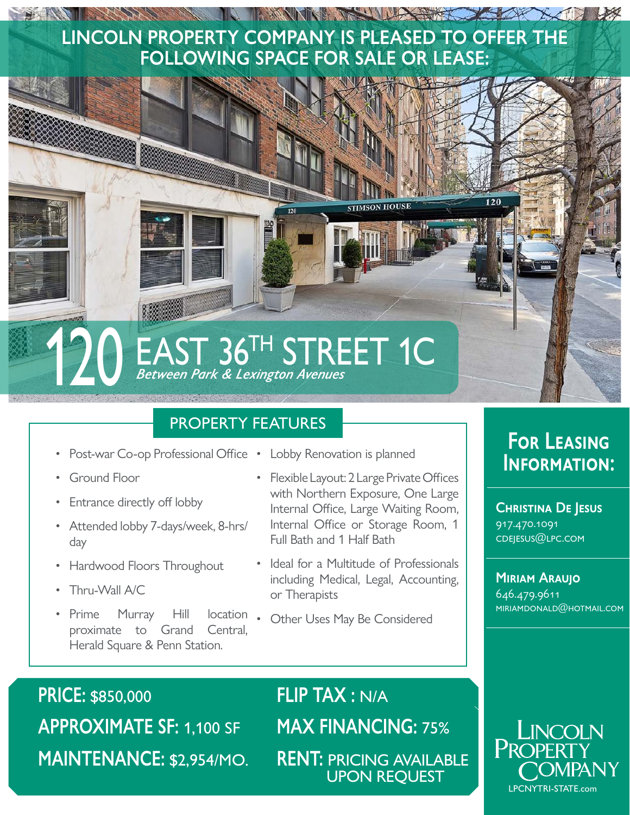### BANK BARRA IN MINISTER SALE **LINCOLN PROPERTY COMPANY IS PLEASED TO OFFER THE FOLLOWING SPACE FOR SALE OR LEASE:**



### PROPERTY FEATURES

- Post-war Co-op Professional Office Lobby Renovation is planned
- Ground Floor
- Entrance directly off lobby
- Attended lobby 7-days/week, 8-hrs/ day
- Hardwood Floors Throughout
- Thru-Wall A/C
- Prime Murray Hill proximate to Grand Central, Herald Square & Penn Station.
- 
- Flexible Layout: 2 Large Private Offices with Northern Exposure, One Large Internal Office, Large Waiting Room, Internal Office or Storage Room, 1 Full Bath and 1 Half Bath
- Ideal for a Multitude of Professionals including Medical, Legal, Accounting, or Therapists
- Other Uses May Be Considered

**PRICE:** \$850,000 **APPROXIMATE SF:** 1,100 SF **MAINTENANCE:** \$2,954/MO. **FLIP TAX :** N/A **MAX FINANCING:** 75% **RENT:** PRICING AVAILABLE UPON REQUEST

### **For Leasing Information:**

**Christina De Jesus** 917.470.1091 cdejesus@lpc.com

**Miriam Araujo** 646.479.9611 miriamdonald@hotmail.com

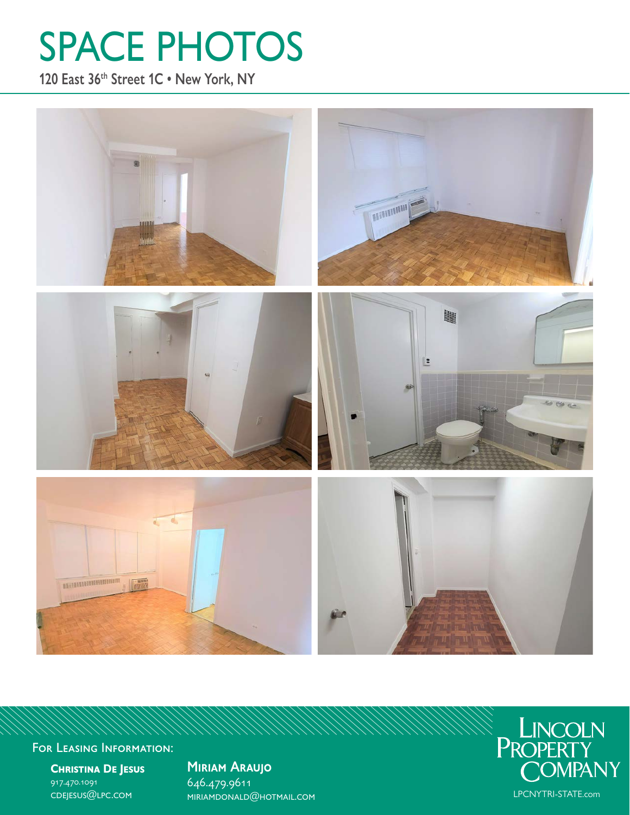# SPACE PHOTOS

**120 East 36th Street 1C • New York, NY**



For Leasing Information:

**Christina De Jesus** 917.470.1091 cdejesus@lpc.com

**Miriam Araujo** 646.479.9611 miriamdonald@hotmail.com